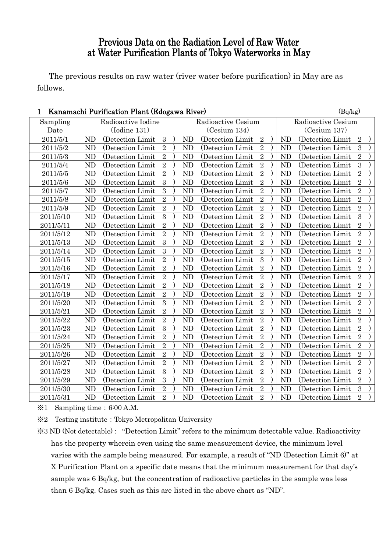# Previous Data on the Radiation Level of Raw Water at Water Purification Plants of Tokyo Waterworks in May

The previous results on raw water (river water before purification) in May are as follows.

| Kanamachi Purification Plant (Edogawa River)<br>1 |                    |                   |                |              |                    |                   |                | (Bq/kg) |                    |                   |                |  |
|---------------------------------------------------|--------------------|-------------------|----------------|--------------|--------------------|-------------------|----------------|---------|--------------------|-------------------|----------------|--|
| Sampling                                          | Radioactive Iodine |                   |                |              | Radioactive Cesium |                   |                |         | Radioactive Cesium |                   |                |  |
| Date                                              | (Iodine 131)       |                   |                | (Cesium 134) |                    |                   | (Cesium 137)   |         |                    |                   |                |  |
| 2011/5/1                                          | ND                 | (Detection Limit) | 3              |              | <b>ND</b>          | (Detection Limit) | $\sqrt{2}$     |         | <b>ND</b>          | (Detection Limit) | $\sqrt{2}$     |  |
| 2011/5/2                                          | ND                 | (Detection Limit  | $\overline{2}$ |              | <b>ND</b>          | (Detection Limit  | $\overline{2}$ |         | ND                 | (Detection Limit  | $\overline{3}$ |  |
| 2011/5/3                                          | ND                 | (Detection Limit  | $\overline{2}$ |              | <b>ND</b>          | (Detection Limit  | $\overline{2}$ |         | <b>ND</b>          | (Detection Limit) | $\overline{2}$ |  |
| 2011/5/4                                          | <b>ND</b>          | (Detection Limit  | $\overline{2}$ |              | <b>ND</b>          | (Detection Limit  | $\sqrt{2}$     |         | N <sub>D</sub>     | (Detection Limit  | 3              |  |
| 2011/5/5                                          | ND                 | (Detection Limit  | $\overline{2}$ |              | <b>ND</b>          | (Detection Limit  | $\overline{2}$ |         | N <sub>D</sub>     | (Detection Limit  | $\overline{2}$ |  |
| 2011/5/6                                          | ND                 | (Detection Limit) | 3              |              | <b>ND</b>          | (Detection Limit) | $\overline{2}$ |         | <b>ND</b>          | (Detection Limit) | $\overline{2}$ |  |
| 2011/5/7                                          | ND                 | (Detection Limit  | $\overline{3}$ |              | <b>ND</b>          | (Detection Limit  | $\overline{2}$ |         | N <sub>D</sub>     | (Detection Limit  | $\overline{2}$ |  |
| 2011/5/8                                          | ND                 | (Detection Limit  | $\overline{2}$ |              | <b>ND</b>          | (Detection Limit  | $\overline{2}$ |         | <b>ND</b>          | (Detection Limit  | $\overline{2}$ |  |
| 2011/5/9                                          | <b>ND</b>          | (Detection Limit  | $\overline{2}$ |              | <b>ND</b>          | (Detection Limit  | $\sqrt{2}$     |         | ND                 | (Detection Limit) | $\overline{2}$ |  |
| 2011/5/10                                         | ND                 | (Detection Limit) | $\overline{3}$ |              | <b>ND</b>          | (Detection Limit  | $\overline{2}$ |         | ND                 | (Detection Limit  | 3              |  |
| 2011/5/11                                         | ND                 | (Detection Limit) | $\overline{2}$ |              | <b>ND</b>          | (Detection Limit) | $\overline{2}$ |         | <b>ND</b>          | (Detection Limit) | $\overline{2}$ |  |
| 2011/5/12                                         | ND                 | (Detection Limit  | $\overline{2}$ |              | <b>ND</b>          | (Detection Limit  | $\overline{2}$ |         | N <sub>D</sub>     | (Detection Limit  | $\overline{2}$ |  |
| 2011/5/13                                         | ND                 | (Detection Limit) | 3              |              | <b>ND</b>          | (Detection Limit) | $\overline{2}$ |         | <b>ND</b>          | (Detection Limit) | $\overline{2}$ |  |
| 2011/5/14                                         | <b>ND</b>          | (Detection Limit  | 3              |              | <b>ND</b>          | (Detection Limit) | $\sqrt{2}$     |         | ND                 | (Detection Limit) | $\overline{2}$ |  |
| 2011/5/15                                         | ND                 | (Detection Limit  | $\overline{2}$ |              | <b>ND</b>          | (Detection Limit  | $\overline{3}$ |         | ND                 | (Detection Limit  | $\overline{2}$ |  |
| 2011/5/16                                         | ND                 | (Detection Limit) | $\overline{2}$ |              | <b>ND</b>          | (Detection Limit  | $\overline{2}$ |         | <b>ND</b>          | (Detection Limit  | $\overline{2}$ |  |
| 2011/5/17                                         | ND                 | (Detection Limit  | $\overline{2}$ |              | <b>ND</b>          | (Detection Limit  | $\overline{2}$ |         | ND                 | (Detection Limit  | $\overline{2}$ |  |
| 2011/5/18                                         | ND                 | (Detection Limit) | $\overline{2}$ |              | <b>ND</b>          | (Detection Limit) | $\overline{2}$ |         | <b>ND</b>          | (Detection Limit) | $\overline{2}$ |  |
| 2011/5/19                                         | <b>ND</b>          | (Detection Limit  | $\overline{2}$ |              | <b>ND</b>          | (Detection Limit  | $\sqrt{2}$     |         | <b>ND</b>          | (Detection Limit  | $\overline{2}$ |  |
| 2011/5/20                                         | ND                 | (Detection Limit) | 3              |              | <b>ND</b>          | (Detection Limit  | $\overline{2}$ |         | ND                 | (Detection Limit  | $\overline{2}$ |  |
| 2011/5/21                                         | ND                 | (Detection Limit) | $\overline{2}$ |              | <b>ND</b>          | (Detection Limit) | $\overline{2}$ |         | <b>ND</b>          | (Detection Limit) | $\overline{2}$ |  |
| 2011/5/22                                         | ND                 | (Detection Limit) | $\overline{2}$ |              | <b>ND</b>          | (Detection Limit) | $\overline{2}$ |         | ND                 | (Detection Limit) | $\overline{2}$ |  |
| 2011/5/23                                         | <b>ND</b>          | (Detection Limit) | 3              |              | <b>ND</b>          | (Detection Limit) | $\overline{2}$ |         | <b>ND</b>          | (Detection Limit) | $\overline{2}$ |  |
| 2011/5/24                                         | <b>ND</b>          | (Detection Limit  | $\overline{2}$ |              | <b>ND</b>          | (Detection Limit  | $\sqrt{2}$     |         | ND                 | (Detection Limit  | $\overline{2}$ |  |
| 2011/5/25                                         | ND                 | (Detection Limit) | $\overline{2}$ |              | <b>ND</b>          | (Detection Limit) | $\overline{2}$ |         | ND                 | (Detection Limit  | $\overline{2}$ |  |
| 2011/5/26                                         | ND                 | (Detection Limit) | $\overline{2}$ |              | <b>ND</b>          | (Detection Limit) | $\overline{2}$ |         | <b>ND</b>          | (Detection Limit  | $\overline{2}$ |  |
| 2011/5/27                                         | <b>ND</b>          | (Detection Limit) | $\overline{2}$ |              | <b>ND</b>          | (Detection Limit  | $\overline{2}$ |         | ND                 | (Detection Limit  | $\overline{2}$ |  |
| 2011/5/28                                         | ND                 | (Detection Limit) | $\overline{3}$ |              | <b>ND</b>          | (Detection Limit  | $\overline{2}$ |         | ND                 | (Detection Limit  | $\overline{2}$ |  |
| 2011/5/29                                         | <b>ND</b>          | (Detection Limit  | 3              |              | <b>ND</b>          | (Detection Limit  | $\overline{2}$ |         | ND                 | (Detection Limit) | $\overline{2}$ |  |
| 2011/5/30                                         | <b>ND</b>          | (Detection Limit  | $\overline{2}$ |              | <b>ND</b>          | (Detection Limit  | $\overline{2}$ |         | N <sub>D</sub>     | (Detection Limit) | $\overline{3}$ |  |
| 2011/5/31                                         | ND                 | (Detection Limit) | $\overline{2}$ |              | <b>ND</b>          | (Detection Limit) | $\overline{2}$ |         | <b>ND</b>          | (Detection Limit  | $\overline{2}$ |  |

 $\div 1$  Sampling time: 6:00 A.M.

※2 Testing institute:Tokyo Metropolitan University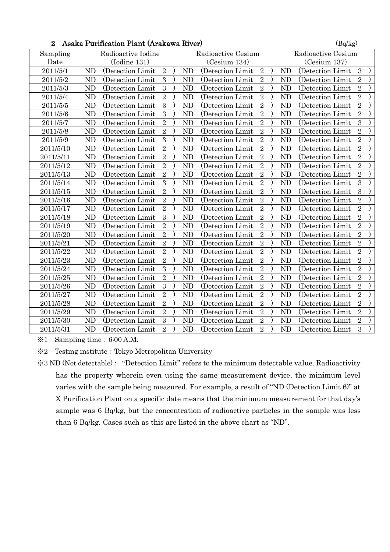| <u>t isana 1 amin'avion'i ciame o n'anawa fervorz</u> | $(\mathbf{D}\mathbf{y})$ |                    |                    |  |  |  |
|-------------------------------------------------------|--------------------------|--------------------|--------------------|--|--|--|
| Sampling                                              | Radioactive Iodine       | Radioactive Cesium | Radioactive Cesium |  |  |  |
| Date                                                  | (Iodine 131)             | (Cesium 134)       | (Cesium 137)       |  |  |  |
| 2011/5/1                                              | <b>ND</b>                | <b>ND</b>          | <b>ND</b>          |  |  |  |
|                                                       | $\overline{2}$           | $\overline{2}$     | 3                  |  |  |  |
|                                                       | (Detection Limit)        | (Detection Limit)  | (Detection Limit)  |  |  |  |
| 2011/5/2                                              | $\overline{3}$           | $\overline{2}$     | $\overline{2}$     |  |  |  |
|                                                       | <b>ND</b>                | N <sub>D</sub>     | N <sub>D</sub>     |  |  |  |
|                                                       | (Detection Limit         | (Detection Limit   | (Detection Limit   |  |  |  |
| 2011/5/3                                              | 3                        | $\overline{2}$     | $\overline{2}$     |  |  |  |
|                                                       | <b>ND</b>                | <b>ND</b>          | <b>ND</b>          |  |  |  |
|                                                       | (Detection Limit         | (Detection Limit)  | (Detection Limit   |  |  |  |
| 2011/5/4                                              | <b>ND</b>                | $\sqrt{2}$         | $\overline{2}$     |  |  |  |
|                                                       | $\overline{2}$           | N <sub>D</sub>     | N <sub>D</sub>     |  |  |  |
|                                                       | (Detection Limit         | (Detection Limit   | (Detection Limit   |  |  |  |
| 2011/5/5                                              | 3                        | $\overline{2}$     | $\overline{2}$     |  |  |  |
|                                                       | <b>ND</b>                | <b>ND</b>          | <b>ND</b>          |  |  |  |
|                                                       | (Detection Limit         | (Detection Limit)  | (Detection Limit   |  |  |  |
| 2011/5/6                                              | 3                        | $\overline{2}$     | $\overline{2}$     |  |  |  |
|                                                       | <b>ND</b>                | <b>ND</b>          | <b>ND</b>          |  |  |  |
|                                                       | (Detection Limit)        | (Detection Limit)  | (Detection Limit)  |  |  |  |
| 2011/5/7                                              | $\overline{2}$           | $\overline{2}$     | 3                  |  |  |  |
|                                                       | <b>ND</b>                | N <sub>D</sub>     | N <sub>D</sub>     |  |  |  |
|                                                       | (Detection Limit         | (Detection Limit   | (Detection Limit   |  |  |  |
| 2011/5/8                                              | $\overline{2}$           | $\overline{2}$     | $\overline{2}$     |  |  |  |
|                                                       | <b>ND</b>                | <b>ND</b>          | <b>ND</b>          |  |  |  |
|                                                       | (Detection Limit)        | (Detection Limit)  | (Detection Limit)  |  |  |  |
| 2011/5/9                                              | ND                       | $\sqrt{2}$         | $\overline{2}$     |  |  |  |
|                                                       | $\boldsymbol{3}$         | N <sub>D</sub>     | ND                 |  |  |  |
|                                                       | (Detection Limit         | (Detection Limit)  | (Detection Limit)  |  |  |  |
| 2011/5/10                                             | $\overline{2}$           | $\overline{2}$     | $\overline{2}$     |  |  |  |
|                                                       | <b>ND</b>                | <b>ND</b>          | <b>ND</b>          |  |  |  |
|                                                       | (Detection Limit         | (Detection Limit)  | (Detection Limit)  |  |  |  |
| 2011/5/11                                             | $\overline{2}$           | $\overline{2}$     | $\overline{2}$     |  |  |  |
|                                                       | ND                       | N <sub>D</sub>     | N <sub>D</sub>     |  |  |  |
|                                                       | (Detection Limit)        | (Detection Limit)  | (Detection Limit)  |  |  |  |
| 2011/5/12                                             | $\overline{2}$           | $\overline{2}$     | $\overline{2}$     |  |  |  |
|                                                       | <b>ND</b>                | N <sub>D</sub>     | <b>ND</b>          |  |  |  |
|                                                       | (Detection Limit         | (Detection Limit   | (Detection Limit   |  |  |  |
| 2011/5/13                                             | $\overline{2}$           | $\sqrt{2}$         | $\overline{2}$     |  |  |  |
|                                                       | <b>ND</b>                | <b>ND</b>          | N <sub>D</sub>     |  |  |  |
|                                                       | (Detection Limit         | (Detection Limit)  | (Detection Limit   |  |  |  |
| 2011/5/14                                             | $\overline{3}$           | $\overline{2}$     | $\overline{3}$     |  |  |  |
|                                                       | <b>ND</b>                | N <sub>D</sub>     | N <sub>D</sub>     |  |  |  |
|                                                       | (Detection Limit)        | (Detection Limit   | (Detection Limit   |  |  |  |
| 2011/5/15                                             | $\overline{2}$           | $\overline{2}$     | $\overline{3}$     |  |  |  |
|                                                       | <b>ND</b>                | <b>ND</b>          | <b>ND</b>          |  |  |  |
|                                                       | (Detection Limit)        | (Detection Limit)  | (Detection Limit)  |  |  |  |
| 2011/5/16                                             | $\overline{2}$           | $\overline{2}$     | $\overline{2}$     |  |  |  |
|                                                       | <b>ND</b>                | N <sub>D</sub>     | <b>ND</b>          |  |  |  |
|                                                       | (Detection Limit)        | (Detection Limit)  | (Detection Limit)  |  |  |  |
| 2011/5/17                                             | $\overline{2}$           | $\overline{2}$     | $\overline{2}$     |  |  |  |
|                                                       | <b>ND</b>                | <b>ND</b>          | <b>ND</b>          |  |  |  |
|                                                       | (Detection Limit)        | (Detection Limit)  | (Detection Limit)  |  |  |  |
| 2011/5/18                                             | ND                       | $\overline{2}$     | $\overline{2}$     |  |  |  |
|                                                       | 3                        | N <sub>D</sub>     | <b>ND</b>          |  |  |  |
|                                                       | (Detection Limit         | (Detection Limit   | (Detection Limit)  |  |  |  |
| 2011/5/19                                             | $\overline{2}$           | $\overline{2}$     | $\overline{2}$     |  |  |  |
|                                                       | <b>ND</b>                | <b>ND</b>          | <b>ND</b>          |  |  |  |
|                                                       | (Detection Limit)        | (Detection Limit)  | (Detection Limit)  |  |  |  |
| 2011/5/20                                             | $\overline{2}$           | $\overline{2}$     | $\overline{2}$     |  |  |  |
|                                                       | <b>ND</b>                | <b>ND</b>          | <b>ND</b>          |  |  |  |
|                                                       | (Detection Limit         | (Detection Limit)  | (Detection Limit)  |  |  |  |
| 2011/5/21                                             | $\sqrt{2}$               | $\overline{2}$     | $\sqrt{2}$         |  |  |  |
|                                                       | <b>ND</b>                | <b>ND</b>          | N <sub>D</sub>     |  |  |  |
|                                                       | (Detection Limit)        | (Detection Limit   | (Detection Limit   |  |  |  |
| 2011/5/22                                             | $\overline{2}$           | $\overline{2}$     | $\overline{2}$     |  |  |  |
|                                                       | <b>ND</b>                | N <sub>D</sub>     | N <sub>D</sub>     |  |  |  |
|                                                       | (Detection Limit         | (Detection Limit   | (Detection Limit   |  |  |  |
| 2011/5/23                                             | $\overline{2}$           | $\overline{2}$     | $\overline{2}$     |  |  |  |
|                                                       | <b>ND</b>                | <b>ND</b>          | <b>ND</b>          |  |  |  |
|                                                       | (Detection Limit)        | (Detection Limit   | (Detection Limit)  |  |  |  |
| 2011/5/24                                             | 3                        | $\overline{2}$     | $\overline{2}$     |  |  |  |
|                                                       | <b>ND</b>                | <b>ND</b>          | N <sub>D</sub>     |  |  |  |
|                                                       | (Detection Limit)        | (Detection Limit)  | (Detection Limit)  |  |  |  |
| 2011/5/25                                             | $\overline{2}$           | $\overline{2}$     | $\overline{2}$     |  |  |  |
|                                                       | <b>ND</b>                | <b>ND</b>          | <b>ND</b>          |  |  |  |
|                                                       | (Detection Limit         | (Detection Limit)  | (Detection Limit   |  |  |  |
| 2011/5/26                                             | $\mathbf{3}$             | $\sqrt{2}$         | $\overline{2}$     |  |  |  |
|                                                       | <b>ND</b>                | <b>ND</b>          | <b>ND</b>          |  |  |  |
|                                                       | (Detection Limit)        | (Detection Limit)  | (Detection Limit)  |  |  |  |
| 2011/5/27                                             | $\overline{2}$           | $\overline{2}$     | $\overline{2}$     |  |  |  |
|                                                       | <b>ND</b>                | N <sub>D</sub>     | N <sub>D</sub>     |  |  |  |
|                                                       | (Detection Limit         | (Detection Limit   | (Detection Limit   |  |  |  |
| 2011/5/28                                             | $\overline{2}$           | $\overline{2}$     | $\overline{2}$     |  |  |  |
|                                                       | <b>ND</b>                | <b>ND</b>          | <b>ND</b>          |  |  |  |
|                                                       | (Detection Limit)        | (Detection Limit)  | (Detection Limit)  |  |  |  |
| 2011/5/29                                             | $\overline{2}$           | $\overline{2}$     | $\overline{2}$     |  |  |  |
|                                                       | <b>ND</b>                | <b>ND</b>          | ND                 |  |  |  |
|                                                       | (Detection Limit)        | (Detection Limit)  | (Detection Limit)  |  |  |  |
| 2011/5/30                                             | 3                        | $\overline{2}$     | $\overline{2}$     |  |  |  |
|                                                       | <b>ND</b>                | <b>ND</b>          | <b>ND</b>          |  |  |  |
|                                                       | (Detection Limit)        | (Detection Limit)  | (Detection Limit)  |  |  |  |
| 2011/5/31                                             | ND                       | $\overline{2}$     | 3                  |  |  |  |
|                                                       | $\sqrt{2}$               | N <sub>D</sub>     | ND                 |  |  |  |
|                                                       | (Detection Limit)        | (Detection Limit)  | (Detection Limit)  |  |  |  |

### 2 Asaka Purification Plant (Arakawa River) (Bq/kg)

 $\text{\%}1$  Sampling time: 6:00 A.M.

※2 Testing institute:Tokyo Metropolitan University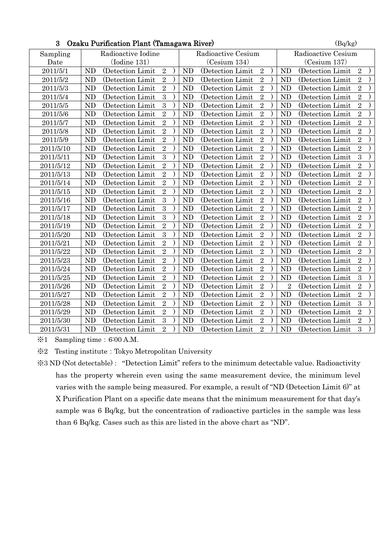|           | Ozaku I urliication I iant (Taniagawa River) |                    | UQ/kg/             |  |  |  |
|-----------|----------------------------------------------|--------------------|--------------------|--|--|--|
| Sampling  | Radioactive Iodine                           | Radioactive Cesium | Radioactive Cesium |  |  |  |
| Date      | (Iodine 131)                                 | (Cesium 134)       | (Cesium 137)       |  |  |  |
| 2011/5/1  | <b>ND</b>                                    | <b>ND</b>          | <b>ND</b>          |  |  |  |
|           | (Detection Limit                             | (Detection Limit   | (Detection Limit   |  |  |  |
|           | $\overline{2}$                               | $\sqrt{2}$         | $\sqrt{2}$         |  |  |  |
| 2011/5/2  | $\overline{2}$                               | $\overline{2}$     | $\overline{2}$     |  |  |  |
|           | ND                                           | <b>ND</b>          | <b>ND</b>          |  |  |  |
|           | (Detection Limit)                            | (Detection Limit)  | (Detection Limit)  |  |  |  |
| 2011/5/3  | $\overline{2}$                               | $\overline{2}$     | $\overline{2}$     |  |  |  |
|           | ND                                           | <b>ND</b>          | <b>ND</b>          |  |  |  |
|           | (Detection Limit                             | (Detection Limit)  | (Detection Limit   |  |  |  |
| 2011/5/4  | ND                                           | $\overline{2}$     | $\overline{2}$     |  |  |  |
|           | 3                                            | <b>ND</b>          | <b>ND</b>          |  |  |  |
|           | (Detection Limit                             | (Detection Limit)  | (Detection Limit   |  |  |  |
| 2011/5/5  | ND                                           | $\overline{2}$     | $\overline{2}$     |  |  |  |
|           | 3                                            | <b>ND</b>          | <b>ND</b>          |  |  |  |
|           | (Detection Limit)                            | (Detection Limit)  | (Detection Limit)  |  |  |  |
| 2011/5/6  | $\overline{2}$                               | $\overline{2}$     | $\sqrt{2}$         |  |  |  |
|           | <b>ND</b>                                    | N <sub>D</sub>     | <b>ND</b>          |  |  |  |
|           | (Detection Limit                             | (Detection Limit)  | (Detection Limit)  |  |  |  |
| 2011/5/7  | $\overline{2}$                               | $\overline{2}$     | $\overline{2}$     |  |  |  |
|           | <b>ND</b>                                    | <b>ND</b>          | <b>ND</b>          |  |  |  |
|           | (Detection Limit                             | (Detection Limit)  | (Detection Limit   |  |  |  |
| 2011/5/8  | $\overline{2}$                               | $\overline{2}$     | $\overline{2}$     |  |  |  |
|           | <b>ND</b>                                    | N <sub>D</sub>     | <b>ND</b>          |  |  |  |
|           | (Detection Limit)                            | (Detection Limit)  | (Detection Limit)  |  |  |  |
| 2011/5/9  | <b>ND</b>                                    | $\overline{2}$     | $\overline{2}$     |  |  |  |
|           | $\overline{2}$                               | N <sub>D</sub>     | <b>ND</b>          |  |  |  |
|           | (Detection Limit                             | (Detection Limit   | (Detection Limit   |  |  |  |
| 2011/5/10 | $\overline{2}$                               | $\overline{2}$     | $\overline{2}$     |  |  |  |
|           | <b>ND</b>                                    | <b>ND</b>          | <b>ND</b>          |  |  |  |
|           | (Detection Limit)                            | (Detection Limit)  | (Detection Limit)  |  |  |  |
| 2011/5/11 | $\overline{3}$                               | $\overline{2}$     | $\overline{3}$     |  |  |  |
|           | ND                                           | N <sub>D</sub>     | N <sub>D</sub>     |  |  |  |
|           | (Detection Limit                             | (Detection Limit   | (Detection Limit)  |  |  |  |
| 2011/5/12 | $\overline{2}$                               | $\overline{2}$     | $\overline{2}$     |  |  |  |
|           | ND                                           | <b>ND</b>          | <b>ND</b>          |  |  |  |
|           | (Detection Limit)                            | (Detection Limit)  | (Detection Limit)  |  |  |  |
| 2011/5/13 | ND                                           | $\sqrt{2}$         | $\overline{2}$     |  |  |  |
|           | $\overline{2}$                               | N <sub>D</sub>     | <b>ND</b>          |  |  |  |
|           | (Detection Limit                             | (Detection Limit   | (Detection Limit   |  |  |  |
| 2011/5/14 | $\overline{2}$                               | $\overline{2}$     | $\overline{2}$     |  |  |  |
|           | ND                                           | <b>ND</b>          | <b>ND</b>          |  |  |  |
|           | (Detection Limit)                            | (Detection Limit)  | (Detection Limit)  |  |  |  |
| 2011/5/15 | $\overline{2}$                               | $\overline{2}$     | $\overline{2}$     |  |  |  |
|           | <b>ND</b>                                    | <b>ND</b>          | <b>ND</b>          |  |  |  |
|           | (Detection Limit)                            | (Detection Limit)  | (Detection Limit   |  |  |  |
| 2011/5/16 | 3                                            | $\overline{2}$     | $\overline{2}$     |  |  |  |
|           | <b>ND</b>                                    | <b>ND</b>          | <b>ND</b>          |  |  |  |
|           | (Detection Limit)                            | (Detection Limit)  | (Detection Limit)  |  |  |  |
| 2011/5/17 | 3                                            | $\sqrt{2}$         | $\overline{2}$     |  |  |  |
|           | <b>ND</b>                                    | <b>ND</b>          | <b>ND</b>          |  |  |  |
|           | (Detection Limit)                            | (Detection Limit)  | (Detection Limit)  |  |  |  |
| 2011/5/18 | $\overline{3}$                               | $\overline{2}$     | $\overline{2}$     |  |  |  |
|           | N <sub>D</sub>                               | N <sub>D</sub>     | N <sub>D</sub>     |  |  |  |
|           | (Detection Limit                             | (Detection Limit   | (Detection Limit   |  |  |  |
| 2011/5/19 | $\overline{2}$                               | $\overline{2}$     | $\overline{2}$     |  |  |  |
|           | ND                                           | <b>ND</b>          | <b>ND</b>          |  |  |  |
|           | (Detection Limit)                            | (Detection Limit)  | (Detection Limit)  |  |  |  |
| 2011/5/20 | $\overline{3}$                               | $\overline{2}$     | $\overline{2}$     |  |  |  |
|           | ND                                           | <b>ND</b>          | <b>ND</b>          |  |  |  |
|           | (Detection Limit                             | (Detection Limit)  | (Detection Limit)  |  |  |  |
| 2011/5/21 | $\overline{2}$                               | $\overline{2}$     | $\overline{2}$     |  |  |  |
|           | ND                                           | <b>ND</b>          | <b>ND</b>          |  |  |  |
|           | (Detection Limit)                            | (Detection Limit   | (Detection Limit   |  |  |  |
| 2011/5/22 | ND                                           | $\sqrt{2}$         | $\overline{2}$     |  |  |  |
|           | $\overline{2}$                               | <b>ND</b>          | ND                 |  |  |  |
|           | (Detection Limit                             | (Detection Limit   | (Detection Limit)  |  |  |  |
| 2011/5/23 | $\overline{2}$                               | $\overline{2}$     | $\overline{2}$     |  |  |  |
|           | <b>ND</b>                                    | <b>ND</b>          | <b>ND</b>          |  |  |  |
|           | (Detection Limit                             | (Detection Limit)  | (Detection Limit)  |  |  |  |
| 2011/5/24 | $\overline{2}$                               | $\overline{2}$     | $\overline{2}$     |  |  |  |
|           | <b>ND</b>                                    | N <sub>D</sub>     | <b>ND</b>          |  |  |  |
|           | (Detection Limit)                            | (Detection Limit)  | (Detection Limit)  |  |  |  |
| 2011/5/25 | $\overline{2}$                               | $\overline{2}$     | $\overline{3}$     |  |  |  |
|           | <b>ND</b>                                    | <b>ND</b>          | <b>ND</b>          |  |  |  |
|           | (Detection Limit)                            | (Detection Limit)  | (Detection Limit)  |  |  |  |
| 2011/5/26 | $\overline{2}$                               | $\overline{2}$     | $\overline{2}$     |  |  |  |
|           | <b>ND</b>                                    | <b>ND</b>          | $\overline{2}$     |  |  |  |
|           | (Detection Limit)                            | (Detection Limit)  | (Detection Limit)  |  |  |  |
| 2011/5/27 | ND                                           | $\sqrt{2}$         | $\sqrt{2}$         |  |  |  |
|           | $\overline{2}$                               | N <sub>D</sub>     | <b>ND</b>          |  |  |  |
|           | (Detection Limit                             | (Detection Limit   | (Detection Limit   |  |  |  |
| 2011/5/28 | $\overline{2}$                               | $\overline{2}$     | 3                  |  |  |  |
|           | ND                                           | <b>ND</b>          | <b>ND</b>          |  |  |  |
|           | (Detection Limit                             | (Detection Limit)  | (Detection Limit)  |  |  |  |
| 2011/5/29 | $\overline{2}$                               | $\overline{2}$     | $\overline{2}$     |  |  |  |
|           | ND                                           | N <sub>D</sub>     | ND                 |  |  |  |
|           | (Detection Limit)                            | (Detection Limit)  | (Detection Limit)  |  |  |  |
| 2011/5/30 | ND                                           | $\overline{2}$     | $\overline{2}$     |  |  |  |
|           | 3                                            | <b>ND</b>          | <b>ND</b>          |  |  |  |
|           | (Detection Limit)                            | (Detection Limit   | (Detection Limit)  |  |  |  |
| 2011/5/31 | ND                                           | $\overline{2}$     | 3                  |  |  |  |
|           | $\overline{2}$                               | <b>ND</b>          | <b>ND</b>          |  |  |  |
|           | (Detection Limit)                            | (Detection Limit)  | (Detection Limit)  |  |  |  |

## $3 \text{ Ozoku Purification Plant (Tamanawa River)}$  (Bq/kg)

 $\text{\%}1$  Sampling time: 6:00 A.M.

※2 Testing institute:Tokyo Metropolitan University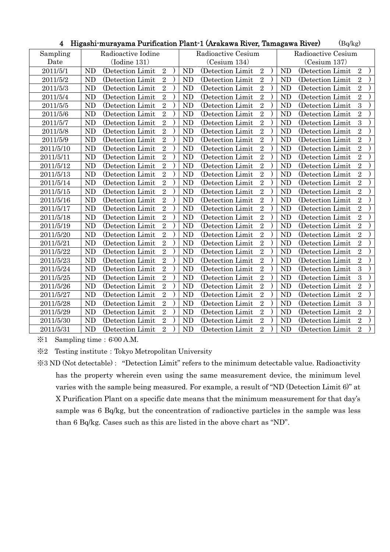| Tiigasiil iliulayalila 1 urtiicatioli 1 lailt 1 vulakawa Itivel, Talilagawa Itivel)<br>UQ/kg/ |                                                  |                                                                                         |                    |  |  |  |  |  |  |
|-----------------------------------------------------------------------------------------------|--------------------------------------------------|-----------------------------------------------------------------------------------------|--------------------|--|--|--|--|--|--|
| Sampling                                                                                      | Radioactive Iodine                               | Radioactive Cesium                                                                      | Radioactive Cesium |  |  |  |  |  |  |
| Date                                                                                          | (Iodine 131)                                     | (Cesium 134)<br>(Cesium 137)                                                            |                    |  |  |  |  |  |  |
| 2011/5/1                                                                                      | N <sub>D</sub><br>(Detection Limit<br>$\sqrt{2}$ | <b>ND</b><br>(Detection Limit<br>$\sqrt{2}$<br><b>ND</b><br>(Detection Limit            | $\sqrt{2}$         |  |  |  |  |  |  |
| 2011/5/2                                                                                      | $\overline{2}$<br>ND<br>(Detection Limit)        | $\overline{2}$<br><b>ND</b><br><b>ND</b><br>(Detection Limit<br>(Detection Limit        | $\overline{2}$     |  |  |  |  |  |  |
| 2011/5/3                                                                                      | ND<br>$\sqrt{2}$<br>(Detection Limit)            | $\sqrt{2}$<br><b>ND</b><br><b>ND</b><br>(Detection Limit)<br>(Detection Limit)          | $\sqrt{2}$         |  |  |  |  |  |  |
| 2011/5/4                                                                                      | ND<br>$\overline{2}$<br>(Detection Limit         | $\overline{2}$<br>N <sub>D</sub><br>ND<br>(Detection Limit<br>(Detection Limit          | $\overline{2}$     |  |  |  |  |  |  |
| 2011/5/5                                                                                      | $\overline{2}$<br>ND<br>(Detection Limit)        | $\overline{2}$<br><b>ND</b><br><b>ND</b><br>(Detection Limit)<br>(Detection Limit)      | $\mathbf{3}$       |  |  |  |  |  |  |
| 2011/5/6                                                                                      | $\overline{2}$<br>ND<br>(Detection Limit)        | $\sqrt{2}$<br><b>ND</b><br><b>ND</b><br>(Detection Limit)<br>(Detection Limit)          | $\overline{2}$     |  |  |  |  |  |  |
| 2011/5/7                                                                                      | $\overline{2}$<br><b>ND</b><br>(Detection Limit) | $\overline{2}$<br><b>ND</b><br><b>ND</b><br>(Detection Limit)<br>(Detection Limit)      | $\mathbf{3}$       |  |  |  |  |  |  |
| 2011/5/8                                                                                      | ND<br>$\sqrt{2}$<br>(Detection Limit             | $\sqrt{2}$<br><b>ND</b><br>N <sub>D</sub><br>(Detection Limit<br>(Detection Limit)      | $\sqrt{2}$         |  |  |  |  |  |  |
| 2011/5/9                                                                                      | ND<br>$\overline{2}$<br>(Detection Limit)        | $\overline{2}$<br><b>ND</b><br><b>ND</b><br>(Detection Limit<br>(Detection Limit)       | $\overline{2}$     |  |  |  |  |  |  |
| 2011/5/10                                                                                     | $\overline{2}$<br><b>ND</b><br>(Detection Limit) | $\overline{2}$<br><b>ND</b><br><b>ND</b><br>(Detection Limit)<br>(Detection Limit)      | $\overline{2}$     |  |  |  |  |  |  |
| 2011/5/11                                                                                     | $\overline{2}$<br>ND<br>(Detection Limit)        | $\overline{2}$<br><b>ND</b><br><b>ND</b><br>(Detection Limit)<br>(Detection Limit)      | $\overline{2}$     |  |  |  |  |  |  |
| 2011/5/12                                                                                     | $\sqrt{2}$<br>ND<br>(Detection Limit)            | $\overline{2}$<br><b>ND</b><br><b>ND</b><br>(Detection Limit<br>(Detection Limit)       | $\sqrt{2}$         |  |  |  |  |  |  |
| 2011/5/13                                                                                     | ND<br>$\overline{2}$<br>(Detection Limit         | $\overline{2}$<br><b>ND</b><br><b>ND</b><br>(Detection Limit<br>(Detection Limit)       | $\overline{2}$     |  |  |  |  |  |  |
| 2011/5/14                                                                                     | $\sqrt{2}$<br>ND<br>(Detection Limit)            | $\overline{2}$<br><b>ND</b><br><b>ND</b><br>(Detection Limit)<br>(Detection Limit)      | $\sqrt{2}$         |  |  |  |  |  |  |
| 2011/5/15                                                                                     | $\overline{2}$<br>ND<br>(Detection Limit)        | $\sqrt{2}$<br><b>ND</b><br><b>ND</b><br>(Detection Limit)<br>(Detection Limit)          | $\sqrt{2}$         |  |  |  |  |  |  |
| 2011/5/16                                                                                     | $\overline{2}$<br><b>ND</b><br>(Detection Limit) | $\overline{2}$<br><b>ND</b><br><b>ND</b><br>(Detection Limit)<br>(Detection Limit)      | $\sqrt{2}$         |  |  |  |  |  |  |
| 2011/5/17                                                                                     | N <sub>D</sub><br>$\sqrt{2}$<br>(Detection Limit | $\sqrt{2}$<br>N <sub>D</sub><br><b>ND</b><br>(Detection Limit<br>(Detection Limit)      | $\sqrt{2}$         |  |  |  |  |  |  |
| 2011/5/18                                                                                     | $\overline{2}$<br><b>ND</b><br>(Detection Limit) | $\sqrt{2}$<br><b>ND</b><br><b>ND</b><br>(Detection Limit)<br>(Detection Limit)          | $\overline{2}$     |  |  |  |  |  |  |
| 2011/5/19                                                                                     | $\overline{2}$<br>ND<br>(Detection Limit)        | $\overline{2}$<br><b>ND</b><br><b>ND</b><br>(Detection Limit)<br>(Detection Limit)      | $\overline{2}$     |  |  |  |  |  |  |
| 2011/5/20                                                                                     | $\overline{2}$<br>ND<br>(Detection Limit)        | $\overline{2}$<br><b>ND</b><br><b>ND</b><br>(Detection Limit)<br>(Detection Limit)      | $\overline{2}$     |  |  |  |  |  |  |
| 2011/5/21                                                                                     | $\overline{2}$<br>ND<br>(Detection Limit         | $\sqrt{2}$<br><b>ND</b><br><b>ND</b><br>(Detection Limit<br>(Detection Limit            | $\overline{2}$     |  |  |  |  |  |  |
| 2011/5/22                                                                                     | ND<br>$\overline{2}$<br>(Detection Limit)        | $\overline{2}$<br><b>ND</b><br><b>ND</b><br>(Detection Limit)<br>(Detection Limit)      | $\sqrt{2}$         |  |  |  |  |  |  |
| 2011/5/23                                                                                     | ND<br>$\overline{2}$<br>(Detection Limit)        | $\overline{2}$<br><b>ND</b><br><b>ND</b><br>(Detection Limit)<br>(Detection Limit)      | $\overline{2}$     |  |  |  |  |  |  |
| 2011/5/24                                                                                     | $\overline{2}$<br>ND<br>(Detection Limit         | $\overline{2}$<br><b>ND</b><br><b>ND</b><br>(Detection Limit)<br>(Detection Limit)      | $\mathbf{3}$       |  |  |  |  |  |  |
| 2011/5/25                                                                                     | $\overline{2}$<br><b>ND</b><br>(Detection Limit) | $\overline{2}$<br><b>ND</b><br><b>ND</b><br>(Detection Limit<br>(Detection Limit)       | $\sqrt{3}$         |  |  |  |  |  |  |
| 2011/5/26                                                                                     | $\overline{2}$<br><b>ND</b><br>(Detection Limit) | $\sqrt{2}$<br><b>ND</b><br><b>ND</b><br>(Detection Limit)<br>(Detection Limit)          | $\sqrt{2}$         |  |  |  |  |  |  |
| 2011/5/27                                                                                     | $\overline{2}$<br><b>ND</b><br>(Detection Limit) | $\overline{2}$<br><b>ND</b><br><b>ND</b><br>(Detection Limit)<br>(Detection Limit)      | $\overline{2}$     |  |  |  |  |  |  |
| 2011/5/28                                                                                     | $\overline{2}$<br><b>ND</b><br>(Detection Limit) | $\overline{2}$<br><b>ND</b><br>N <sub>D</sub><br>(Detection Limit)<br>(Detection Limit) | $\sqrt{3}$         |  |  |  |  |  |  |
| 2011/5/29                                                                                     | $\overline{2}$<br>ND<br>(Detection Limit         | $\overline{2}$<br>ND<br>ND<br>(Detection Limit)<br>(Detection Limit)                    | $\overline{2}$     |  |  |  |  |  |  |
| 2011/5/30                                                                                     | $\overline{2}$<br><b>ND</b><br>(Detection Limit) | $\overline{2}$<br><b>ND</b><br><b>ND</b><br>(Detection Limit<br>(Detection Limit)       | $\overline{2}$     |  |  |  |  |  |  |
| 2011/5/31                                                                                     | $\overline{2}$<br>ND<br>(Detection Limit)        | $\overline{2}$<br>ND<br>ND<br>(Detection Limit)<br>(Detection Limit)                    | $\sqrt{2}$         |  |  |  |  |  |  |

# $\text{Higashi-muravama Purification Plant-1 (Arakawa River Tamacawa Rivar) }$  (Balka)

 $\text{\%}1$  Sampling time: 6:00 A.M.

※2 Testing institute:Tokyo Metropolitan University